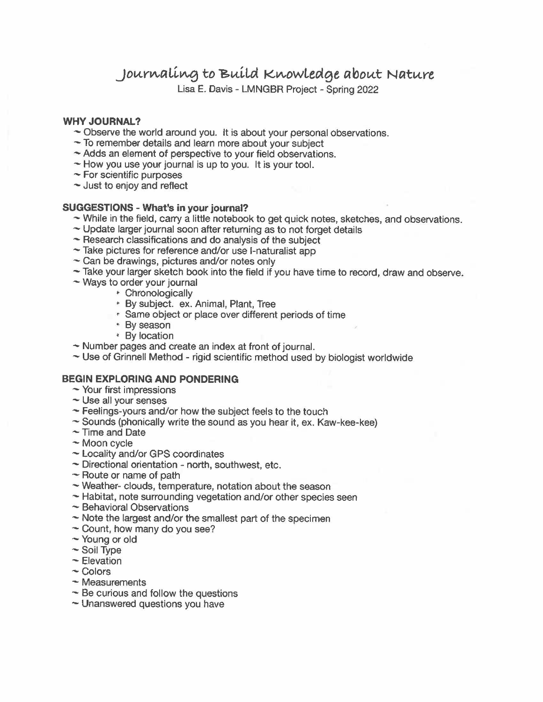Journaling to Build Knowledge about Nature

Lisa E. Davis - LMNGBR Project - Spring 2022

# **WHY JOURNAL?**

- $\sim$  Observe the world around you. It is about your personal observations.
- $\sim$  To remember details and learn more about your subject
- ~ Adds an element of perspective to your field observations.
- ~ How you use your journal is up to you. It is your tool.
- $\sim$  For scientific purposes
- ~ Just to enjoy and reflect

# **SUGGESTIONS - What's in your journal?**

- $\sim$  While in the field, carry a little notebook to get quick notes, sketches, and observations.
- ~ Update larger journal soon after returning as to not forget details
- $\sim$  Research classifications and do analysis of the subject
- $\sim$  Take pictures for reference and/or use I-naturalist app
- $\sim$  Can be drawings, pictures and/or notes only
- ~ Take your larger sketch book into the field if you have time to record, draw and observe.
- $\sim$  Ways to order your journal
	- \* Chronologically
	- <sup>~</sup>By subject. ex. Animal, Plant, Tree
	- 'I- Same object or place over different periods of time
	- <sup>~</sup>By season
	- \* By location
- $\sim$  Number pages and create an index at front of journal.
- ~ Use of Grinnell Method rigid scientific method used by biologist worldwide

# **BEGIN EXPLORING AND PONDERING**

- $\sim$  Your first impressions
- $\sim$  Use all your senses
- $\sim$  Feelings-yours and/or how the subject feels to the touch
- $\sim$  Sounds (phonically write the sound as you hear it, ex. Kaw-kee-kee)
- ~ Time and Date
- ~ Moon cycle
- ~ Locality and/or GPS coordinates
- $\sim$  Directional orientation north, southwest, etc.
- $\sim$  Route or name of path
- ~Weather-clouds, temperature, notation about the season
- ~ Habitat, note surrounding vegetation and/or other species seen
- ~ Behavioral Observations
- $\sim$  Note the largest and/or the smallest part of the specimen
- $\sim$  Count, how many do you see?
- ~ Young or old
- ~ Soil Type
- ~ Elevation
- ~ Colors
- ~ Measurements
- ~ Be curious and follow the questions
- $\sim$  Unanswered questions you have